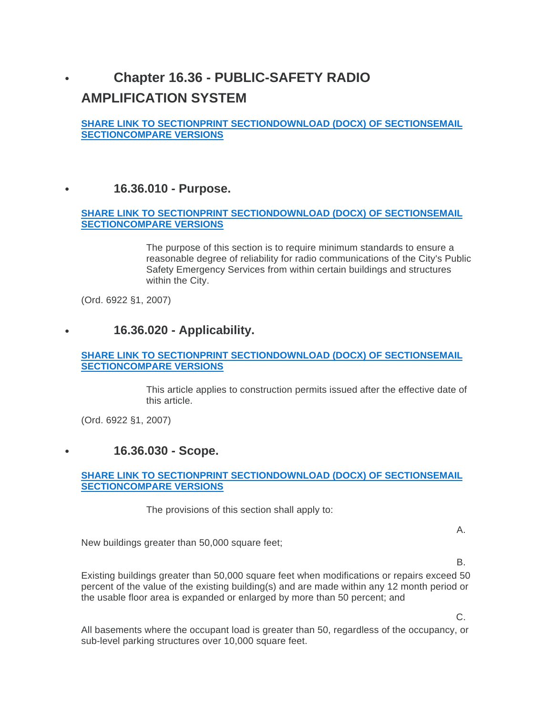# **Chapter 16.36 - PUBLIC-SAFETY RADIO AMPLIFICATION SYSTEM**

**SHARE LINK TO SECTIONPRINT SECTIONDOWNLOAD (DOCX) OF SECTIONSEMAIL SECTIONCOMPARE VERSIONS**

# **16.36.010 - Purpose.**

#### **SHARE LINK TO SECTIONPRINT SECTIONDOWNLOAD (DOCX) OF SECTIONSEMAIL SECTIONCOMPARE VERSIONS**

The purpose of this section is to require minimum standards to ensure a reasonable degree of reliability for radio communications of the City's Public Safety Emergency Services from within certain buildings and structures within the City.

(Ord. 6922 §1, 2007)

# **16.36.020 - Applicability.**

#### **SHARE LINK TO SECTIONPRINT SECTIONDOWNLOAD (DOCX) OF SECTIONSEMAIL SECTIONCOMPARE VERSIONS**

This article applies to construction permits issued after the effective date of this article.

(Ord. 6922 §1, 2007)

# **16.36.030 - Scope.**

#### **SHARE LINK TO SECTIONPRINT SECTIONDOWNLOAD (DOCX) OF SECTIONSEMAIL SECTIONCOMPARE VERSIONS**

The provisions of this section shall apply to:

A.

New buildings greater than 50,000 square feet;

B.

Existing buildings greater than 50,000 square feet when modifications or repairs exceed 50 percent of the value of the existing building(s) and are made within any 12 month period or the usable floor area is expanded or enlarged by more than 50 percent; and

C.

All basements where the occupant load is greater than 50, regardless of the occupancy, or sub-level parking structures over 10,000 square feet.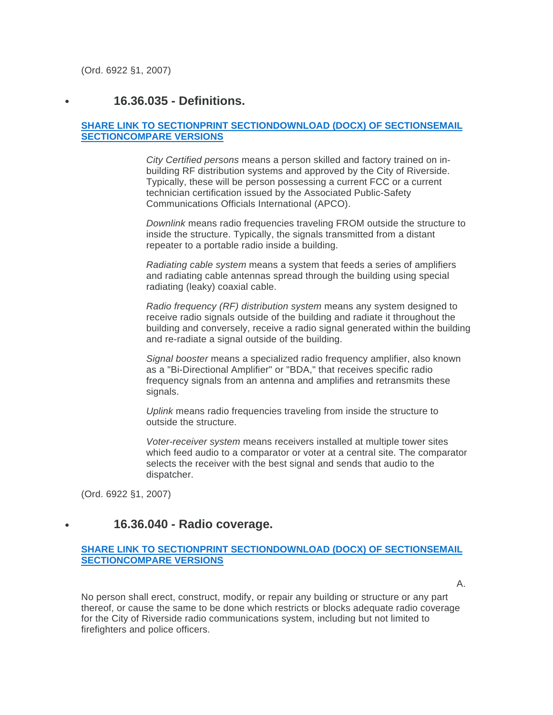(Ord. 6922 §1, 2007)

# **16.36.035 - Definitions.**

#### **SHARE LINK TO SECTIONPRINT SECTIONDOWNLOAD (DOCX) OF SECTIONSEMAIL SECTIONCOMPARE VERSIONS**

*City Certified persons* means a person skilled and factory trained on inbuilding RF distribution systems and approved by the City of Riverside. Typically, these will be person possessing a current FCC or a current technician certification issued by the Associated Public-Safety Communications Officials International (APCO).

*Downlink* means radio frequencies traveling FROM outside the structure to inside the structure. Typically, the signals transmitted from a distant repeater to a portable radio inside a building.

*Radiating cable system* means a system that feeds a series of amplifiers and radiating cable antennas spread through the building using special radiating (leaky) coaxial cable.

*Radio frequency (RF) distribution system* means any system designed to receive radio signals outside of the building and radiate it throughout the building and conversely, receive a radio signal generated within the building and re-radiate a signal outside of the building.

*Signal booster* means a specialized radio frequency amplifier, also known as a "Bi-Directional Amplifier" or "BDA," that receives specific radio frequency signals from an antenna and amplifies and retransmits these signals.

*Uplink* means radio frequencies traveling from inside the structure to outside the structure.

*Voter-receiver system* means receivers installed at multiple tower sites which feed audio to a comparator or voter at a central site. The comparator selects the receiver with the best signal and sends that audio to the dispatcher.

(Ord. 6922 §1, 2007)

### **16.36.040 - Radio coverage.**

#### **SHARE LINK TO SECTIONPRINT SECTIONDOWNLOAD (DOCX) OF SECTIONSEMAIL SECTIONCOMPARE VERSIONS**

A.

No person shall erect, construct, modify, or repair any building or structure or any part thereof, or cause the same to be done which restricts or blocks adequate radio coverage for the City of Riverside radio communications system, including but not limited to firefighters and police officers.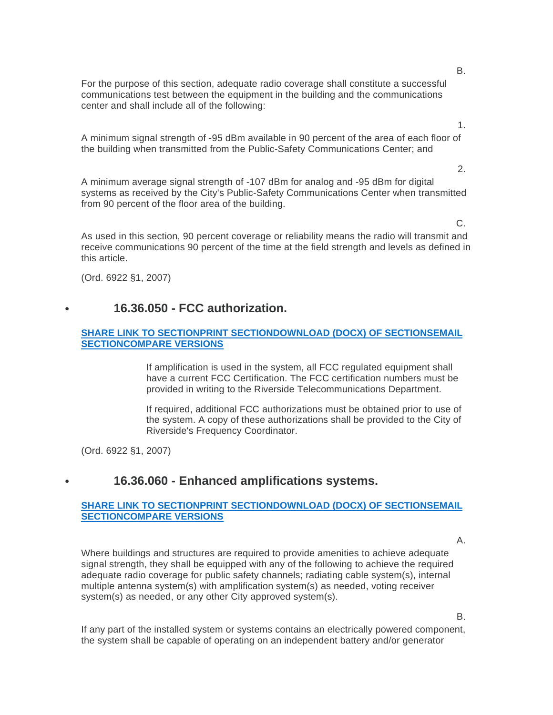For the purpose of this section, adequate radio coverage shall constitute a successful communications test between the equipment in the building and the communications center and shall include all of the following:

A minimum signal strength of -95 dBm available in 90 percent of the area of each floor of the building when transmitted from the Public-Safety Communications Center; and

A minimum average signal strength of -107 dBm for analog and -95 dBm for digital systems as received by the City's Public-Safety Communications Center when transmitted from 90 percent of the floor area of the building.

As used in this section, 90 percent coverage or reliability means the radio will transmit and receive communications 90 percent of the time at the field strength and levels as defined in this article.

(Ord. 6922 §1, 2007)

### **16.36.050 - FCC authorization.**

#### **SHARE LINK TO SECTIONPRINT SECTIONDOWNLOAD (DOCX) OF SECTIONSEMAIL SECTIONCOMPARE VERSIONS**

If amplification is used in the system, all FCC regulated equipment shall have a current FCC Certification. The FCC certification numbers must be provided in writing to the Riverside Telecommunications Department.

If required, additional FCC authorizations must be obtained prior to use of the system. A copy of these authorizations shall be provided to the City of Riverside's Frequency Coordinator.

(Ord. 6922 §1, 2007)

### **16.36.060 - Enhanced amplifications systems.**

#### **SHARE LINK TO SECTIONPRINT SECTIONDOWNLOAD (DOCX) OF SECTIONSEMAIL SECTIONCOMPARE VERSIONS**

A.

Where buildings and structures are required to provide amenities to achieve adequate signal strength, they shall be equipped with any of the following to achieve the required adequate radio coverage for public safety channels; radiating cable system(s), internal multiple antenna system(s) with amplification system(s) as needed, voting receiver system(s) as needed, or any other City approved system(s).

B.

If any part of the installed system or systems contains an electrically powered component, the system shall be capable of operating on an independent battery and/or generator

B.

2.

C.

1.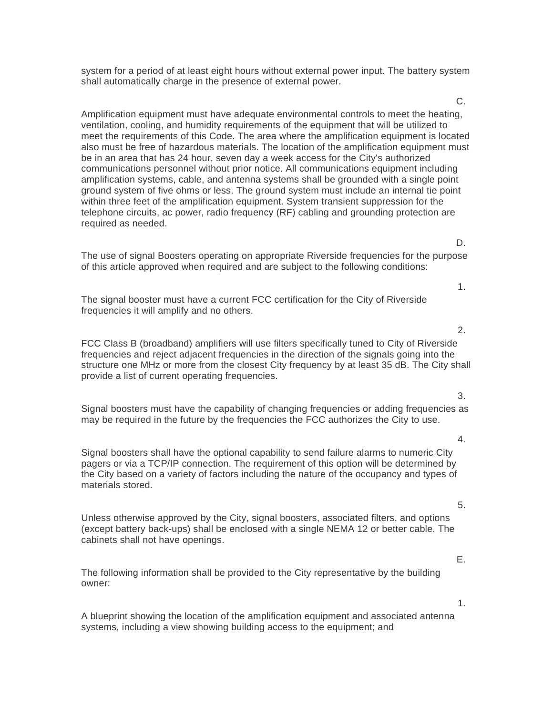system for a period of at least eight hours without external power input. The battery system shall automatically charge in the presence of external power.

Amplification equipment must have adequate environmental controls to meet the heating, ventilation, cooling, and humidity requirements of the equipment that will be utilized to meet the requirements of this Code. The area where the amplification equipment is located also must be free of hazardous materials. The location of the amplification equipment must be in an area that has 24 hour, seven day a week access for the City's authorized communications personnel without prior notice. All communications equipment including amplification systems, cable, and antenna systems shall be grounded with a single point ground system of five ohms or less. The ground system must include an internal tie point within three feet of the amplification equipment. System transient suppression for the telephone circuits, ac power, radio frequency (RF) cabling and grounding protection are required as needed.

The use of signal Boosters operating on appropriate Riverside frequencies for the purpose of this article approved when required and are subject to the following conditions:

The signal booster must have a current FCC certification for the City of Riverside frequencies it will amplify and no others.

FCC Class B (broadband) amplifiers will use filters specifically tuned to City of Riverside frequencies and reject adjacent frequencies in the direction of the signals going into the structure one MHz or more from the closest City frequency by at least 35 dB. The City shall provide a list of current operating frequencies.

Signal boosters must have the capability of changing frequencies or adding frequencies as may be required in the future by the frequencies the FCC authorizes the City to use.

Signal boosters shall have the optional capability to send failure alarms to numeric City pagers or via a TCP/IP connection. The requirement of this option will be determined by the City based on a variety of factors including the nature of the occupancy and types of materials stored.

Unless otherwise approved by the City, signal boosters, associated filters, and options (except battery back-ups) shall be enclosed with a single NEMA 12 or better cable. The cabinets shall not have openings.

The following information shall be provided to the City representative by the building owner:

A blueprint showing the location of the amplification equipment and associated antenna systems, including a view showing building access to the equipment; and

5.

E.

1.

D.

C.

1.

2.

3.

4.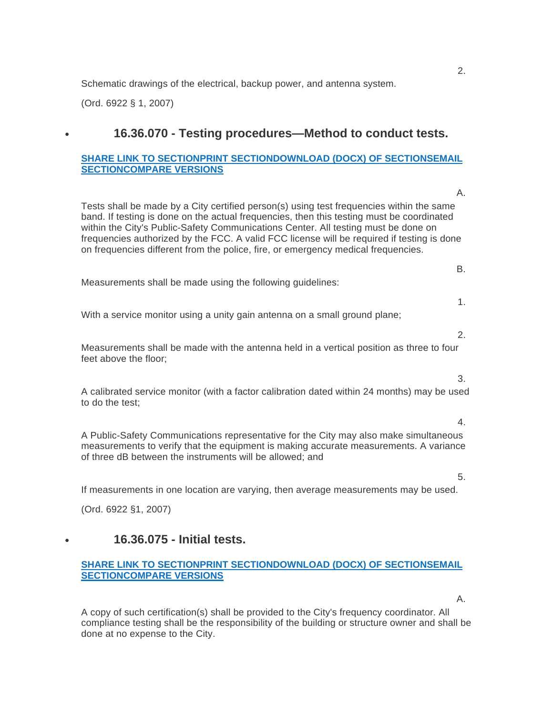Schematic drawings of the electrical, backup power, and antenna system.

(Ord. 6922 § 1, 2007)

# **16.36.070 - Testing procedures—Method to conduct tests.**

#### **SHARE LINK TO SECTIONPRINT SECTIONDOWNLOAD (DOCX) OF SECTIONSEMAIL SECTIONCOMPARE VERSIONS**

Tests shall be made by a City certified person(s) using test frequencies within the same band. If testing is done on the actual frequencies, then this testing must be coordinated within the City's Public-Safety Communications Center. All testing must be done on frequencies authorized by the FCC. A valid FCC license will be required if testing is done on frequencies different from the police, fire, or emergency medical frequencies. Measurements shall be made using the following guidelines: With a service monitor using a unity gain antenna on a small ground plane; Measurements shall be made with the antenna held in a vertical position as three to four feet above the floor; A calibrated service monitor (with a factor calibration dated within 24 months) may be used to do the test; A Public-Safety Communications representative for the City may also make simultaneous measurements to verify that the equipment is making accurate measurements. A variance of three dB between the instruments will be allowed; and

If measurements in one location are varying, then average measurements may be used.

(Ord. 6922 §1, 2007)

# **16.36.075 - Initial tests.**

#### **SHARE LINK TO SECTIONPRINT SECTIONDOWNLOAD (DOCX) OF SECTIONSEMAIL SECTIONCOMPARE VERSIONS**

A copy of such certification(s) shall be provided to the City's frequency coordinator. All compliance testing shall be the responsibility of the building or structure owner and shall be done at no expense to the City.

2.

A.

B.

1.

2.

3.

4.

5.

A.